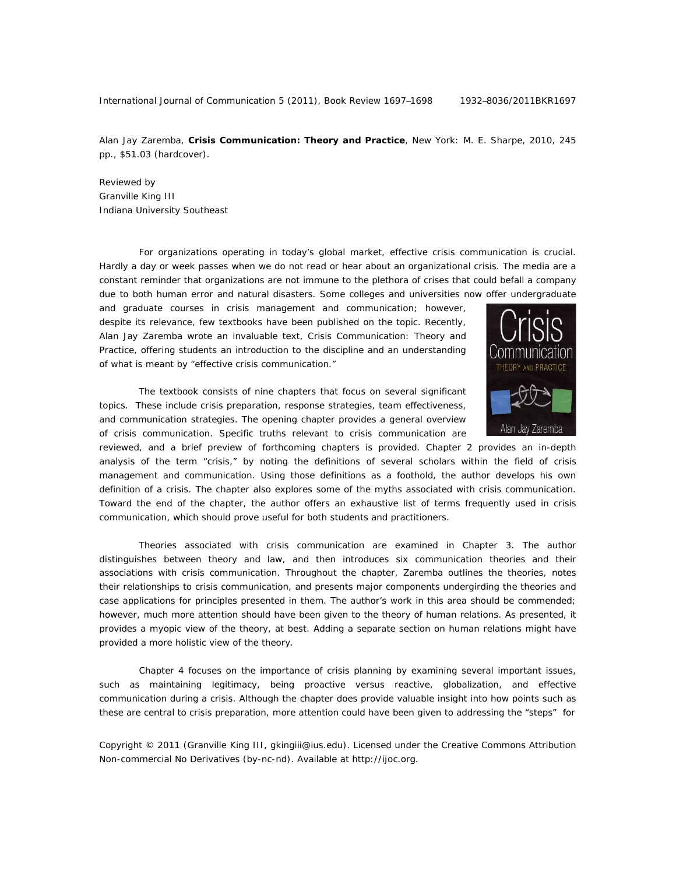International Journal of Communication 5 (2011), Book Review 1697-1698 1932-8036/2011BKR1697

Alan Jay Zaremba, **Crisis Communication: Theory and Practice**, New York: M. E. Sharpe, 2010, 245 pp., \$51.03 (hardcover).

Reviewed by Granville King III Indiana University Southeast

For organizations operating in today's global market, effective crisis communication is crucial. Hardly a day or week passes when we do not read or hear about an organizational crisis. The media are a constant reminder that organizations are not immune to the plethora of crises that could befall a company due to both human error and natural disasters. Some colleges and universities now offer undergraduate

and graduate courses in crisis management and communication; however, despite its relevance, few textbooks have been published on the topic. Recently, Alan Jay Zaremba wrote an invaluable text, *Crisis Communication: Theory and Practice*, offering students an introduction to the discipline and an understanding of what is meant by "effective crisis communication."

The textbook consists of nine chapters that focus on several significant topics. These include crisis preparation, response strategies, team effectiveness, and communication strategies. The opening chapter provides a general overview of crisis communication. Specific truths relevant to crisis communication are



reviewed, and a brief preview of forthcoming chapters is provided. Chapter 2 provides an in-depth analysis of the term "crisis," by noting the definitions of several scholars within the field of crisis management and communication. Using those definitions as a foothold, the author develops his own definition of a crisis. The chapter also explores some of the myths associated with crisis communication. Toward the end of the chapter, the author offers an exhaustive list of terms frequently used in crisis communication, which should prove useful for both students and practitioners.

Theories associated with crisis communication are examined in Chapter 3. The author distinguishes between theory and law, and then introduces six communication theories and their associations with crisis communication. Throughout the chapter, Zaremba outlines the theories, notes their relationships to crisis communication, and presents major components undergirding the theories and case applications for principles presented in them. The author's work in this area should be commended; however, much more attention should have been given to the theory of human relations. As presented, it provides a myopic view of the theory, at best. Adding a separate section on human relations might have provided a more holistic view of the theory.

Chapter 4 focuses on the importance of crisis planning by examining several important issues, such as maintaining legitimacy, being proactive versus reactive, globalization, and effective communication during a crisis. Although the chapter does provide valuable insight into how points such as these are central to crisis preparation, more attention could have been given to addressing the "steps" for

Copyright © 2011 (Granville King III, gkingiii@ius.edu). Licensed under the Creative Commons Attribution Non-commercial No Derivatives (by-nc-nd). Available at http://ijoc.org.